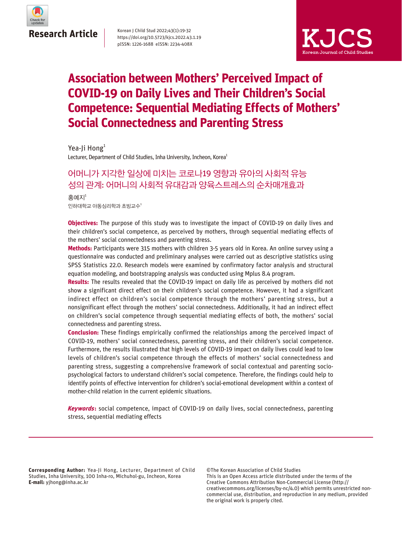

#### Korean J Child Stud 2022;43(1):19-32 https://doi.org/10.5723/kjcs.2022.43.1.19 pISSN: 1226-1688 eISSN: 2234-408X



## **Association between Mothers' Perceived Impact of COVID-19 on Daily Lives and Their Children's Social Competence: Sequential Mediating Effects of Mothers' Social Connectedness and Parenting Stress**

Lecturer, Department of Child Studies, Inha University, Incheon, Korea<sup>1</sup> Yea-Ji Hong $<sup>1</sup>$ </sup>

## 어머니가 지각한 일상에 미치는 코로나19 영향과 유아의 사회적 유능 성의 관계: 어머니의 사회적 유대감과 양육스트레스의 순차매개효과

 $20$ 하대학교 아동심리학과 초빙교수 $1$ 홍예지 $1$ 

**Objectives:** The purpose of this study was to investigate the impact of COVID-19 on daily lives and their children's social competence, as perceived by mothers, through sequential mediating effects of the mothers' social connectedness and parenting stress.

**Methods:** Participants were 315 mothers with children 3-5 years old in Korea. An online survey using a questionnaire was conducted and preliminary analyses were carried out as descriptive statistics using SPSS Statistics 22.0. Research models were examined by confirmatory factor analysis and structural equation modeling, and bootstrapping analysis was conducted using Mplus 8.4 program.

**Results:** The results revealed that the COVID-19 impact on daily life as perceived by mothers did not show a significant direct effect on their children's social competence. However, it had a significant indirect effect on children's social competence through the mothers' parenting stress, but a nonsignificant effect through the mothers' social connectedness. Additionally, it had an indirect effect on children's social competence through sequential mediating effects of both, the mothers' social connectedness and parenting stress.

**Conclusion:** These findings empirically confirmed the relationships among the perceived impact of COVID-19, mothers' social connectedness, parenting stress, and their children's social competence. Furthermore, the results illustrated that high levels of COVID-19 impact on daily lives could lead to low levels of children's social competence through the effects of mothers' social connectedness and parenting stress, suggesting a comprehensive framework of social contextual and parenting sociopsychological factors to understand children's social competence. Therefore, the findings could help to identify points of effective intervention for children's social-emotional development within a context of mother-child relation in the current epidemic situations.

**Keywords:** social competence, impact of COVID-19 on daily lives, social connectedness, parenting stress, sequential mediating effects

**Corresponding Author:** Yea-Ji Hong, Lecturer, Department of Child Studies, Inha University, 100 Inha-ro, Michuhol-gu, Incheon, Korea **E-mail:** yjhong@inha.ac.kr

©The Korean Association of Child Studies This is an Open Access article distributed under the terms of the Creative Commons Attribution Non-Commercial License (http:// creativecommons.org/licenses/by-nc/4.0) which permits unrestricted noncommercial use, distribution, and reproduction in any medium, provided the original work is properly cited.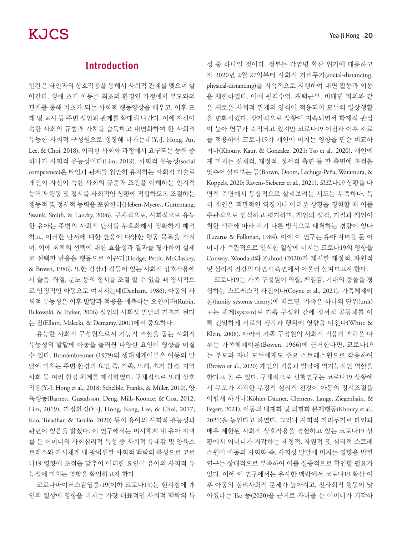## Introduction

인간은 타인과의 상호작용을 통해서 사회적 관계를 맺으며 살 아간다. 생애 초기 아동은 최초의 환경인 가정에서 부모와의 관계를 통해 기초가 되는 사회적 행동양상을 배우고, 이후 또 래 및 교사 등 주변 성인과 관계를 확대해 나간다. 이에 자신이 속한 사회의 규범과 가치를 습득하고 내면화하여 한 사회의 유능한 사회적 구성원으로 성장해 나가는데(Y.-J. Hong, An, Lee, & Choi, 2018), 이러한 사회화 과정에서 요구되는 능력 중 하나가 사회적 유능성이다(Lim, 2019). 사회적 유능성(social competence)은 타인과 관계를 원만히 유지하는 사회적 기술로 개인이 자신이 속한 사회의 규준과 조건을 이해하는 인지적 능력과 행동 및 정서를 사회적인 상황에 적합하도록 조절하는 행동적 및 정서적 능력을 포함한다(Hebert-Myeres, Guttentang, Swank, Smith, & Landry, 2006). 구체적으로, 사회적으로 유능 한 유아는 주변의 사회적 단서를 부호화해서 정확하게 해석 하고, 이러한 단서에 대한 반응에 다양한 행동 목록을 가지 며, 이에 최적의 선택에 대한 효율성과 결과를 평가하여 실제 로 선택한 반응을 행동으로 이끈다(Dodge, Pettit, McClaskey, & Brown, 1986). 또한 긴장과 갈등이 있는 사회적 상호작용에 서 슬픔, 좌절, 분노 등의 정서를 조절 할 수 있을 때 정서적으 로 안정적인 아동으로 여겨지는데(Denham, 1986), 아동의 사 회적 유능성은 이후 발달과 적응을 예측하는 요인이자(Rubin, Bukowski, & Parker, 2006) 성인의 사회성 발달의 기초가 된다 는 점(Elliott, Malecki, & Demaray, 2001)에서 중요하다.

유능한 사회적 구성원으로서 기능적 역할을 돕는 사회적 유능성의 발달에 아동을 둘러싼 다양한 요인이 영향을 미칠 수 있다. Bronfenbrenner (1979)의 생태체계이론은 아동의 발 달에 미치는 주변 환경의 요인 즉, 가족, 또래, 초기 환경, 지역 사회 등 여러 환경 체계를 제시하였다. 구체적으로 또래 상호 작용(Y.-J. Hong et al., 2018; Schelble, Franks, & Miller, 2010), 양 육행동(Barnett, Gustafsson, Deng, Mills-Koonce, & Cox, 2012; Lim, 2019), 가정환경(Y.-J. Hong, Kang, Lee, & Choi, 2017; Kao, Tuladhar, & Tarullo, 2020) 등이 유아의 사회적 유능성과 관련이 있음을 밝혔다. 이 연구에서는 미시체계 내 유아 자녀 를 둔 어머니의 사회심리적 특성 중 사회적 유대감 및 양육스 트레스와 거시체계 내 광범위한 사회적 맥락의 특성으로 코로 나19 영향에 초점을 맞추어 이러한 요인이 유아의 사회적 유 능성에 미치는 영향을 확인하고자 한다.

코로나바이러스감염증-19(이하 코로나19)는 현시점에 개 인의 일상에 영향을 미치는 가장 대표적인 사회적 맥락의 특 성 중 하나일 것이다. 정부는 감염병 확산 위기에 대응하고 자 2020년 2월 27일부터 사회적 거리두기(social-distancing, physical-distancing)를 지속적으로 시행하여 대면 활동과 이동 을 제한하였다. 이에 원격수업, 재택근무, 비대면 회의와 같 은 새로운 사회적 관계의 양식이 적용되어 모두의 일상생활 을 변화시켰다. 장기적으로 상황이 지속되면서 학제적 관심 이 높아 연구가 축적되고 있지만 코로나19 이전과 이후 자료 를 적용하여 코로나19가 개인에 미치는 영향을 단순 비교하 거나(Khoury, Kaur, & Gonzalez, 2021; Tso et al., 2020), 개인에 게 미치는 신체적, 재정적, 정서적 측면 등 한 측면에 초점을 맞추어 살펴보는 등(Brown, Doom, Lechuga-Peña, Watamura, & Koppels, 2020; Ravens-Sieberer et al., 2021), 코로나19 상황을 다 면적 측면에서 통합적으로 살펴보려는 시도는 부족하다. 특 히 개인은 객관적인 역경이나 어려운 상황을 경험할 때 이를 주관적으로 인식하고 평가하며, 개인의 성격, 기질과 개인이 처한 맥락에 따라 각기 다른 방식으로 대처하는 경향이 있다 (Lazarus & Folkman, 1984). 이에 이 연구는 유아 자녀를 둔 어 머니가 주관적으로 인식한 일상에 미치는 코로나19의 영향을 Conway, Woodard와 Zubrod (2020)가 제시한 재정적, 자원적 및 심리적 건강의 다면적 측면에서 아울러 살펴보고자 한다.

코로나19는 가족 구성원이 역할, 책임감, 기대의 충돌을 경 험하는 스트레스적 사건이다(Coyne et al., 2021). 가족체계이 론(family systems theory)에 따르면, 가족은 하나의 단위(unit) 또는 체계(system)로 가족 구성원 간에 정서적 공동체를 이 뤄 긴밀하게 서로의 생각과 행위에 영향을 미친다(White & Klein, 2008). 따라서 가족 구성원의 사회적 적응의 맥락을 다 루는 가족체계이론(Bowen, 1966)에 근거한다면, 코로나19 는 부모와 자녀 모두에게도 주요 스트레스원으로 작용하여 (Brown et al., 2020) 개인의 적응과 발달에 역기능적인 역할을 한다고 볼 수 있다. 구체적으로 선행연구는 코로나19 상황에 서 부모가 지각한 부정적 심리적 건강이 아동의 정서조절을 어렵게 하거나(Köhler-Dauner, Clemens, Lange, Ziegenhain, & Fegert, 2021), 아동의 내재화 및 외현화 문제행동(Khoury et al., 2021)을 높인다고 하였다. 그러나 사회적 거리두기로 타인과 매우 제한된 사회적 상호작용을 경험하고 있는 코로나19 상 황에서 어머니가 지각하는 재정적, 자원적 및 심리적 스트레 스원이 아동의 사회화 즉, 사회성 발달에 미치는 영향을 밝힌 연구는 상대적으로 부족하여 이를 실증적으로 확인할 필요가 있다. 이에 이 연구에서는 유사한 맥락에서 코로나19 확산 이 후 아동의 심리사회적 문제가 높아지고, 친사회적 행동이 낮 아졌다는 Tso 등(2020)을 근거로 자녀를 둔 어머니가 지각하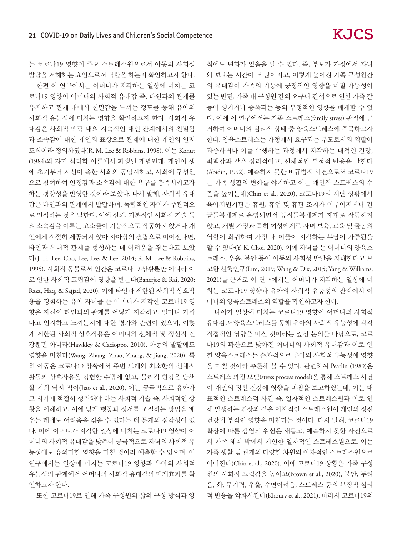식에도 변화가 있음을 알 수 있다. 즉, 부모가 가정에서 자녀 와 보내는 시간이 더 많아지고, 이렇게 높아진 가족 구성원간 의 유대감이 가족의 기능에 긍정적인 영향을 미칠 가능성이 있는 반면, 가족 내 구성원 간의 요구나 간섭으로 인한 가족 갈 등이 생기거나 증폭되는 등의 부정적인 영향을 배제할 수 없 다. 이에 이 연구에서는 가족 스트레스(family stress) 관점에 근 거하여 어머니의 심리적 상태 중 양육스트레스에 주목하고자 한다. 양육스트레스는 가정에서 요구되는 부모로서의 역할이 과중하거나 이를 수행하는 과정에서 지각하는 내적인 긴장, 죄책감과 같은 심리적이고, 신체적인 부정적 반응을 말한다 (Abidin, 1992). 예측하지 못한 비규범적 사건으로서 코로나19 는 가족 생활의 변화를 야기하고 이는 개인적 스트레스의 수 준을 높이는데(Chin et al., 2020), 코로나19의 재난 상황에서 육아지원기관은 휴원, 휴업 및 휴관 조치가 이루어지거나 긴 급돌봄체계로 운영되면서 공적돌봄체계가 제대로 작동하지 않고, 개별 가정과 특히 여성에게로 자녀 보육, 교육 및 돌봄의 역할이 회귀하여 가정 내 이들이 지각하는 부담이 가중됨을 알 수 있다(Y. K. Choi, 2020). 이에 자녀를 둔 어머니의 양육스 트레스, 우울, 불안 등이 아동의 사회성 발달을 저해한다고 보 고한 선행연구(Lim, 2019; Wang & Dix, 2015; Yang & Williams, 2021)를 근거로 이 연구에서는 어머니가 지각하는 일상에 미 치는 코로나19 영향과 유아의 사회적 유능성의 관계에서 어 머니의 양육스트레스의 역할을 확인하고자 한다.

나아가 일상에 미치는 코로나19 영향이 어머니의 사회적 유대감과 양육스트레스를 통해 유아의 사회적 유능성에 각각 직접적인 영향을 미칠 것이라는 앞선 논의를 바탕으로, 코로 나19의 확산으로 낮아진 어머니의 사회적 유대감과 이로 인 한 양육스트레스는 순차적으로 유아의 사회적 유능성에 영향 을 미칠 것이라 추론해 볼 수 있다. 관련하여 Pearlin (1989)은 스트레스 과정 모델(stress process model)을 통해 스트레스 사건 이 개인의 정신 건강에 영향을 미침을 보고하였는데, 이는 대 표적인 스트레스적 사건 즉, 일차적인 스트레스원과 이로 인 해 발생하는 긴장과 같은 이차적인 스트레스원이 개인의 정신 건강에 부적인 영향을 미친다는 것이다. 다시 말해, 코로나19 확산에 따른 감염의 위험은 새롭고, 예측하지 못한 사건으로 서 가족 체계 밖에서 기인한 일차적인 스트레스원으로, 이는 가족 생활 및 관계의 다양한 차원의 이차적인 스트레스원으로 이어진다(Chin et al., 2020). 이에 코로나19 상황은 가족 구성 원의 사회적 고립감을 높이고(Brown et al., 2020), 불안, 두려 움, 화, 무기력, 우울, 수면어려움, 스트레스 등의 부정적 심리 적 반응을 악화시킨다(Khoury et al., 2021). 따라서 코로나19의

는 코로나19 영향이 주요 스트레스원으로서 아동의 사회성 발달을 저해하는 요인으로서 역할을 하는지 확인하고자 한다.

한편 이 연구에서는 어머니가 지각하는 일상에 미치는 코 로나19 영향이 어머니의 사회적 유대감 즉, 타인과의 관계를 유지하고 관계 내에서 친밀감을 느끼는 정도를 통해 유아의 사회적 유능성에 미치는 영향을 확인하고자 한다. 사회적 유 대감은 사회적 맥락 내의 지속적인 대인 관계에서의 친밀함 과 소속감에 대한 개인의 표상으로 관계에 대한 개인의 인지 도식이라 정의하였다(R. M. Lee & Robbins, 1998). 이는 Kohut (1984)의 자기 심리학 이론에서 파생된 개념인데, 개인이 생 애 초기부터 자신이 속한 사회와 동일시하고, 사회에 구성원 으로 참여하여 안정감과 소속감에 대한 욕구를 충족시키고자 하는 경향성을 반영한 것이라 보았다. 다시 말해, 사회적 유대 감은 타인과의 관계에서 발달하며, 독립적인 자아가 주관적으 로 인식하는 것을 말한다. 이에 신뢰, 기본적인 사회적 기술 등 의 소속감을 이루는 요소들이 기능적으로 작동하지 않거나 개 인에게 적절히 제공되지 않아 자아상의 결핍으로 이어진다면, 타인과 유대적 관계를 형성하는 데 어려움을 겪는다고 보았 다(J. H. Lee, Cho, Lee, Lee, & Lee, 2014; R. M. Lee & Robbins, 1995). 사회적 동물로서 인간은 코로나19 상황뿐만 아니라 이 로 인한 사회적 고립감에 영향을 받는다(Banerjee & Rai, 2020; Raza, Haq, & Sajjad, 2020). 이에 타인과 제한된 사회적 상호작 용을 경험하는 유아 자녀를 둔 어머니가 지각한 코로나19 영 향은 자신이 타인과의 관계를 어떻게 지각하고, 얼마나 가깝 다고 인지하고 느끼는지에 대한 평가와 관련이 있으며, 이렇 게 제한된 사회적 상호작용은 어머니의 신체적 및 정신적 건 강뿐만 아니라(Hawkley & Cacioppo, 2010), 아동의 발달에도 영향을 미친다(Wang, Zhang, Zhao, Zhang, & Jiang, 2020). 특 히 아동은 코로나19 상황에서 주변 또래와 최소한의 신체적 활동과 상호작용을 경험할 수밖에 없고, 물리적 환경을 탐색 할 기회 역시 적어(Jiao et al., 2020), 이는 궁극적으로 유아가 그 시기에 적절히 성취해야 하는 사회적 기술 즉, 사회적인 상 황을 이해하고, 이에 맞게 행동과 정서를 조절하는 방법을 배 우는 데에도 어려움을 겪을 수 있다는 데 문제의 심각성이 있 다. 이에 어머니가 지각한 일상에 미치는 코로나19 영향이 어 머니의 사회적 유대감을 낮추어 궁극적으로 자녀의 사회적 유 능성에도 유의미한 영향을 미칠 것이라 예측할 수 있으며, 이 연구에서는 일상에 미치는 코로나19 영향과 유아의 사회적 유능성의 관계에서 어머니의 사회적 유대감의 매개효과를 확 인하고자 한다.

또한 코로나19로 인해 가족 구성원의 삶의 구성 방식과 양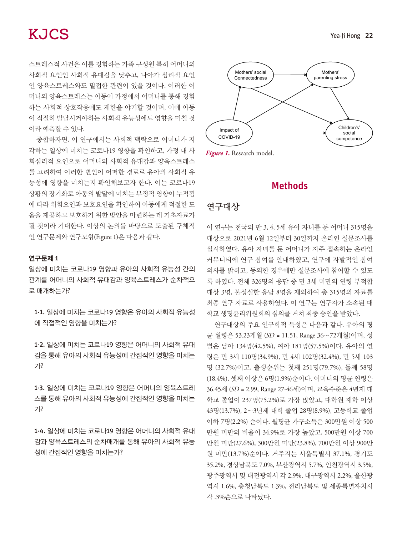스트레스적 사건은 이를 경험하는 가족 구성원 특히 어머니의 사회적 요인인 사회적 유대감을 낮추고, 나아가 심리적 요인 인 양육스트레스와도 밀접한 관련이 있을 것이다. 이러한 어 머니의 양육스트레스는 아동이 가정에서 어머니를 통해 경험 하는 사회적 상호작용에도 제한을 야기할 것이며, 이에 아동 이 적절히 발달시켜야하는 사회적 유능성에도 영향을 미칠 것 이라 예측할 수 있다.

종합하자면, 이 연구에서는 사회적 맥락으로 어머니가 지 각하는 일상에 미치는 코로나19 영향을 확인하고, 가정 내 사 회심리적 요인으로 어머니의 사회적 유대감과 양육스트레스 를 고려하여 이러한 변인이 어떠한 경로로 유아의 사회적 유 능성에 영향을 미치는지 확인해보고자 한다. 이는 코로나19 상황의 장기화로 아동의 발달에 미치는 부정적 영향이 누적됨 에 따라 위험요인과 보호요인을 확인하여 아동에게 적절한 도 움을 제공하고 보호하기 위한 방안을 마련하는 데 기초자료가 될 것이라 기대한다. 이상의 논의를 바탕으로 도출된 구체적 인 연구문제와 연구모형(Figure 1)은 다음과 같다.

#### 연구문제 1

일상에 미치는 코로나19 영향과 유아의 사회적 유능성 간의 관계를 어머니의 사회적 유대감과 양육스트레스가 순차적으 로 매개하는가?

1-1. 일상에 미치는 코로나19 영향은 유아의 사회적 유능성 에 직접적인 영향을 미치는가?

1-2. 일상에 미치는 코로나19 영향은 어머니의 사회적 유대 감을 통해 유아의 사회적 유능성에 간접적인 영향을 미치는 가?

1-3. 일상에 미치는 코로나19 영향은 어머니의 양육스트레 스를 통해 유아의 사회적 유능성에 간접적인 영향을 미치는 가?

1-4. 일상에 미치는 코로나19 영향은 어머니의 사회적 유대 감과 양육스트레스의 순차매개를 통해 유아의 사회적 유능 성에 간접적인 영향을 미치는가?



#### Methods

#### 연구대상

이 연구는 전국의 만 3, 4, 5세 유아 자녀를 둔 어머니 315명을 대상으로 2021년 6월 12일부터 30일까지 온라인 설문조사를 실시하였다. 유아 자녀를 둔 어머니가 자주 접속하는 온라인 커뮤니티에 연구 참여를 안내하였고, 연구에 자발적인 참여 의사를 밝히고, 동의한 경우에만 설문조사에 참여할 수 있도 록 하였다. 전체 326명의 응답 중 만 3세 미만의 연령 부적합 대상 3명, 불성실한 응답 8명을 제외하여 총 315명의 자료를 최종 연구 자료로 사용하였다. 이 연구는 연구자가 소속된 대 학교 생명윤리위원회의 심의를 거쳐 최종 승인을 받았다.

연구대상의 주요 인구학적 특성은 다음과 같다. 유아의 평 균 월령은 53.23개월 (SD = 11.51, Range 36∼72개월)이며, 성 별은 남아 134명(42.5%), 여아 181명(57.5%)이다. 유아의 연 령은 만 3세 110명(34.9%), 만 4세 102명(32.4%), 만 5세 103 명 (32.7%)이고, 출생순위는 첫째 251명(79.7%), 둘째 58명 (18.4%), 셋째 이상은 6명(1.9%)순이다. 어머니의 평균 연령은 36.45세 (SD = 2.99, Range 27-46세)이며, 교육수준은 4년제 대 학교 졸업이 237명(75.2%)로 가장 많았고, 대학원 재학 이상 43명(13.7%), 2∼3년제 대학 졸업 28명(8.9%), 고등학교 졸업 이하 7명(2.2%) 순이다. 월평균 가구소득은 300만원 이상 500 만원 미만의 비율이 34.9%로 가장 높았고, 500만원 이상 700 만원 미만(27.6%), 300만원 미만(23.8%), 700만원 이상 900만 원 미만(13.7%)순이다. 거주지는 서울특별시 37.1%, 경기도 35.2%, 경상남북도 7.0%, 부산광역시 5.7%, 인천광역시 3.5%, 광주광역시 및 대전광역시 각 2.9%, 대구광역시 2.2%, 울산광 역시 1.6%, 충청남북도 1.3%, 전라남북도 및 세종특별자치시 각 .3%순으로 나타났다.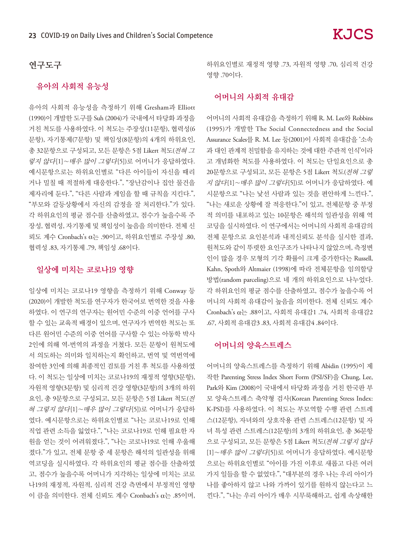#### 연구도구

#### 유아의 사회적 유능성

유아의 사회적 유능성을 측정하기 위해 Gresham과 Elliott (1990)이 개발한 도구를 Suh (2004)가 국내에서 타당화 과정을 거친 척도를 사용하였다. 이 척도는 주장성(11문항), 협력성(6 문항), 자기통제(7문항) 및 책임성(8문항)의 4개의 하위요인, 총 32문항으로 구성되고, 모든 문항은 5점 Likert 척도(전혀 <sup>그</sup> 렇지 않다[1]∼매우 많이 그렇다[5])로 어머니가 응답하였다. 예시문항으로는 하위요인별로 "다른 아이들이 자신을 때리 거나 밀칠 때 적절하게 대응한다.", "장난감이나 집안 물건을 제자리에 둔다.", "다른 사람과 게임을 할 때 규칙을 지킨다.", "부모와 갈등상황에서 자신의 감정을 잘 처리한다."가 있다. 각 하위요인의 평균 점수를 산출하였고, 점수가 높을수록 주 장성, 협력성, 자기통제 및 책임성이 높음을 의미한다. 전체 신 뢰도 계수 Cronbach's α는 .90이고, 하위요인별로 주장성 .80, 협력성 .83, 자기통제 .79, 책임성 .68이다.

### 일상에 미치는 코로나19 영향

일상에 미치는 코로나19 영향을 측정하기 위해 Conway 등 (2020)이 개발한 척도를 연구자가 한국어로 번역한 것을 사용 하였다. 이 연구의 연구자는 원어민 수준의 이중 언어를 구사 할 수 있는 교육적 배경이 있으며, 연구자가 번역한 척도는 또 다른 원어민 수준의 이중 언어를 구사할 수 있는 아동학 박사 2인에 의해 역-번역의 과정을 거쳤다. 모든 문항이 원척도에 서 의도하는 의미와 일치하는지 확인하고, 번역 및 역번역에 참여한 3인에 의해 최종적인 검토를 거친 후 척도를 사용하였 다. 이 척도는 일상에 미치는 코로나19의 재정적 영향(3문항), 자원적 영향(3문항) 및 심리적 건강 영향(3문항)의 3개의 하위 요인, 총 9문항으로 구성되고, 모든 문항은 5점 Likert 척도(전 혀 그렇지 않다[1]∼매우 많이 그렇다[5])로 어머니가 응답하 였다. 예시문항으로는 하위요인별로 "나는 코로나19로 인해 직업 관련 소득을 잃었다.", "나는 코로나19로 인해 필요한 자 원을 얻는 것이 어려워졌다.", "나는 코로나19로 인해 우울해 졌다."가 있고, 전체 문항 중 세 문항은 해석의 일관성을 위해 역코딩을 실시하였다. 각 하위요인의 평균 점수를 산출하였 고, 점수가 높을수록 어머니가 지각하는 일상에 미치는 코로 나19의 재정적, 자원적, 심리적 건강 측면에서 부정적인 영향 이 큼을 의미한다. 전체 신뢰도 계수 Cronbach's α는 .85이며,

하위요인별로 재정적 영향 .73, 자원적 영향 .70, 심리적 건강 영향 .70이다.

#### 어머니의 사회적 유대감

어머니의 사회적 유대감을 측정하기 위해 R. M. Lee와 Robbins (1995)가 개발한 The Social Connectedness and the Social Assurance Scales를 R. M. Lee 등(2001)이 사회적 유대감을 '소속 과 대인 관계적 친밀함을 유지하는 것에 대한 주관적 인식'이라 고 개념화한 척도를 사용하였다. 이 척도는 단일요인으로 총 20문항으로 구성되고, 모든 문항은 5점 Likert 척도(전혀 그렇 지 않다[1]∼매우 많이 그렇다[5])로 어머니가 응답하였다. 예 시문항으로 "나는 낯선 사람과 있는 것을 편안하게 느낀다.", "나는 새로운 상황에 잘 적응한다."이 있고, 전체문항 중 부정 적 의미를 내포하고 있는 10문항은 해석의 일관성을 위해 역 코딩을 실시하였다. 이 연구에서는 어머니의 사회적 유대감의 전체 문항으로 요인분석과 내적신뢰도 분석을 실시한 결과, 원척도와 같이 뚜렷한 요인구조가 나타나지 않았으며, 측정변 인이 많을 경우 모형의 기각 확률이 크게 증가한다는 Russell, Kahn, Spoth와 Altmaier (1998)에 따라 전체문항을 임의할당 방법(random parceling)으로 네 개의 하위요인으로 나누었다. 각 하위요인의 평균 점수를 산출하였고, 점수가 높을수록 어 머니의 사회적 유대감이 높음을 의미한다. 전체 신뢰도 계수 Cronbach's α는 .88이고, 사회적 유대감1 .74, 사회적 유대감2 .67, 사회적 유대감3 .83, 사회적 유대감4 .84이다.

#### 어머니의 양육스트레스

어머니의 양육스트레스를 측정하기 위해 Abidin (1995)이 제 작한 Parenting Stress Index Short Form (PSI/SF)을 Chung, Lee, Park와 Kim (2008)이 국내에서 타당화 과정을 거친 한국판 부 모 양육스트레스 축약형 검사(Korean Parenting Stress Index: K-PSI)를 사용하였다. 이 척도는 부모역할 수행 관련 스트레 스(12문항), 자녀와의 상호작용 관련 스트레스(12문항) 및 자 녀 특성 관련 스트레스(12문항)의 3개의 하위요인, 총 36문항 으로 구성되고, 모든 문항은 5점 Likert 척도(전혀 그렇지 않다 [1]∼매우 많이 그렇다[5])로 어머니가 응답하였다. 예시문항 으로는 하위요인별로 "아이를 가진 이후로 새롭고 다른 여러 가지 일들을 할 수 없었다.", "대부분의 경우 나는 우리 아이가 나를 좋아하지 않고 나와 가까이 있기를 원하지 않는다고 느 낀다.", "나는 우리 아이가 매우 시무룩해하고, 쉽게 속상해한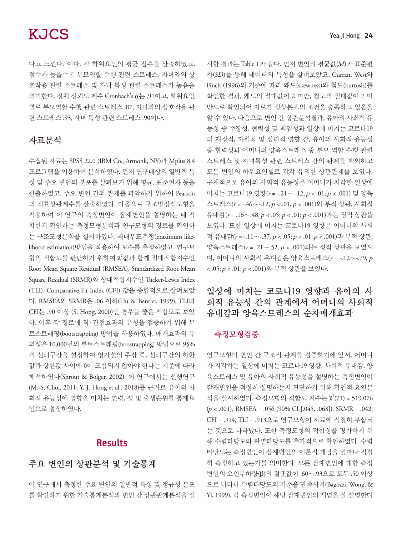다고 느낀다."이다. 각 하위요인의 평균 점수를 산출하였고, 점수가 높을수록 부모역할 수행 관련 스트레스, 자녀와의 상 호작용 관련 스트레스 및 자녀 특성 관련 스트레스가 높음을 의미한다. 전체 신뢰도 계수 Cronbach's α는 .91이고, 하위요인 별로 부모역할 수행 관련 스트레스 .87, 자녀와의 상호작용 관 련 스트레스 .93, 자녀 특성 관련 스트레스 .90이다.

### 자료분석

수집된 자료는 SPSS 22.0 (IBM Co., Armonk, NY)과 Mplus 8.4 프로그램을 이용하여 분석하였다. 먼저 연구대상의 일반적 특 성 및 주요 변인의 분포를 살펴보기 위해 평균, 표준편차 등을 산출하였고, 주요 변인 간의 관계를 파악하기 위하여 Pearson 의 적률상관계수를 산출하였다. 다음으로 구조방정식모형을 적용하여 이 연구의 측정변인이 잠재변인을 설명하는 데 적 합한지 확인하는 측정모형분석과 연구모형의 경로를 확인하 는 구조모형분석을 실시하였다. 최대우도추정(maximum likelihood estimation)방법을 적용하여 모수를 추정하였고, 연구모 형의 적합도를 판단하기 위하여 X2값과 함께 절대적합지수인 Root Mean Square Residual (RMSEA), Standardized Root Mean Square Residual (SRMR)와 상대적합지수인 Tucker-Lewis Index (TLI), Comparative Fit Index (CFI) 값을 종합적으로 살펴보았 다. RMSEA와 SRMR은 .06 이하(Hu & Bentler, 1999), TLI와 CFI는 .90 이상 (S. Hong, 2000)인 경우를 좋은 적합도로 보았 다. 이후 각 경로에 직· 간접효과의 유성을 검증하기 위해 부 트스트래핑(bootstrapping) 방법을 사용하였다. 매개효과의 유 의성은 10,000번의 부트스트래핑(boostrapping) 방법으로 95% 의 신뢰구간을 설정하여 영가설의 주장 즉, 신뢰구간의 하한 값과 상한값 사이에 0이 포함되지 않아야 한다는 기준에 따라 해석하였다(Shrout & Bolger, 2002). 이 연구에서는 선행연구 (M.-S. Choi, 2011; Y.-J. Hong et al., 2018)를 근거로 유아의 사 회적 유능성에 영향을 미치는 연령, 성 및 출생순위를 통제요 인으로 설정하였다.

### Results

## 주요 변인의 상관분석 및 기술통계

이 연구에서 측정한 주요 변인의 일반적 특성 및 정규성 분포 를 확인하기 위한 기술통계분석과 변인 간 상관관계분석을 실 시한 결과는 Table 1과 같다. 먼저 변인의 평균값(M)과 표준편 차(SD)를 통해 데이터의 특성을 살펴보았고, Curran, West와 Finch (1996)의 기준에 따라 왜도(skewness)와 첨도(kurtosis)를 확인한 결과, 왜도의 절대값이 2 미만, 첨도의 절대값이 7 미 만으로 확인되어 자료가 정상분포의 조건을 충족하고 있음을 알 수 있다. 다음으로 변인 간 상관분석결과, 유아의 사회적 유 능성 중 주장성, 협력성 및 책임성과 일상에 미치는 코로나19 의 재정적, 자원적 및 심리적 영향 간, 유아의 사회적 유능성 중 협력성과 어머니의 양육스트레스 중 부모 역할 수행 관련 스트레스 및 자녀특성 관련 스트레스 간의 관계를 제외하고 모든 변인의 하위요인별로 각각 유의한 상관관계를 보였다. 구체적으로 유아의 사회적 유능성은 어머니가 지각한 일상에 미치는 코로나19 영향(*r* = -.21∼-.12, p < .01; p < .001) 및 양육 스트레스(*r* = -.46∼-.12, p < .01; p < .001)와 부적 상관, 사회적 유대감(*r* = .16∼.48, p < .05; p < .01; p < .001)과는 정적 상관을 보였다. 또한 일상에 미치는 코로나19 영향은 어머니의 사회 적 유대감(*r* = -.11∼-.37, p < .05; p < .01; p < .001)과 부적 상관, 양육스트레스(*r* = .21∼.52, p < .001)와는 정적 상관을 보였으 며, 어머니의 사회적 유대감은 양육스트레스(*r* = -.12∼-.79, <sup>p</sup> < .05; p < .01; p < .001)와 부적 상관을 보였다.

## 일상에 미치는 코로나19 영향과 유아의 사 회적 유능성 간의 관계에서 어머니의 사회적 유대감과 양육스트레스의 순차매개효과

#### 측정모형검증

연구모형의 변인 간 구조적 관계를 검증하기에 앞서, 어머니 가 지각하는 일상에 미치는 코로나19 영향, 사회적 유대감, 양 육스트레스 및 유아의 사회적 유능성을 설명하는 측정변인이 잠재변인을 적절히 설명하는지 판단하기 위해 확인적 요인분 석을 실시하였다. 측정모형의 적합도 지수는  $\chi^2(71) = 519.076$  $(p < .001)$ , RMSEA =  $.056$  (90% CI [ $.045, .068$ ]), SRMR =  $.042$ , CFI = .914, TLI = .913으로 연구모형이 자료에 적절히 부합되 는 것으로 나타났다. 또한 측정모형의 적합성을 평가하기 위 해 수렴타당도와 판별타당도를 추가적으로 확인하였다. 수렴 타당도는 측정변인이 잠재변인의 이론적 개념을 얼마나 적절 히 측정하고 있는가를 의미한다. 모든 잠재변인에 대한 측정 변인의 요인부하량(β)의 절댓값이 .60∼.93으로 모두 .50 이상 으로 나타나 수렴타당도의 기준을 만족시켜(Bagozzi, Wong, & Yi, 1999), 각 측정변인이 해당 잠재변인의 개념을 잘 설명한다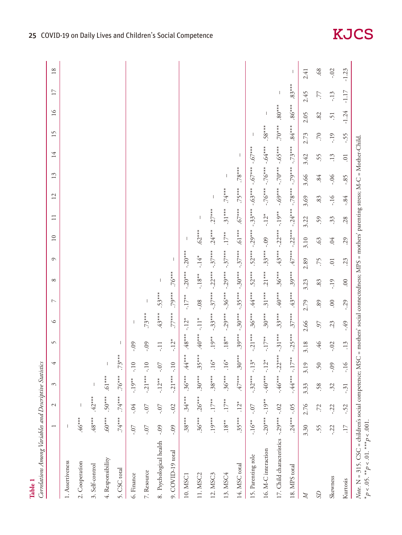| Correlations Among Variables and Descriptive Statistics<br>Table 1                                       |                 |               |                       |                                       |                                                                                       |            |                |              |                |                        |           |           |                              |                  |          |                     |          |         |
|----------------------------------------------------------------------------------------------------------|-----------------|---------------|-----------------------|---------------------------------------|---------------------------------------------------------------------------------------|------------|----------------|--------------|----------------|------------------------|-----------|-----------|------------------------------|------------------|----------|---------------------|----------|---------|
|                                                                                                          |                 | $\mathcal{L}$ | $\tilde{\varepsilon}$ | 4                                     | $\sqrt{ }$                                                                            | ৩          | $\overline{ }$ | ${}^{\circ}$ | $\circ$        | 10                     | $\Box$    | 12        | $\epsilon$<br>$\overline{ }$ | 14               | 15       | ৩<br>$\overline{ }$ | 17       | $18\,$  |
| 1. Assertiveness                                                                                         |                 |               |                       |                                       |                                                                                       |            |                |              |                |                        |           |           |                              |                  |          |                     |          |         |
| 2. Cooperation                                                                                           | $.46***$        |               |                       |                                       |                                                                                       |            |                |              |                |                        |           |           |                              |                  |          |                     |          |         |
| 3. Self-control                                                                                          | $.48***$        | $.42***$      |                       |                                       |                                                                                       |            |                |              |                |                        |           |           |                              |                  |          |                     |          |         |
| 4. Responsibility                                                                                        | $.60***$        | $.50***$      | $.61***$              | $\begin{array}{c} \hline \end{array}$ |                                                                                       |            |                |              |                |                        |           |           |                              |                  |          |                     |          |         |
| 5. CSC total                                                                                             | $.74***$        | $.74***$      | $.76***$              | $\frac{*}{*}$<br>$.73*$               | I                                                                                     |            |                |              |                |                        |           |           |                              |                  |          |                     |          |         |
| 6. Finance                                                                                               | $-0$ .          | $-0.04$       | $-19**$               | $-10$                                 | .09                                                                                   |            |                |              |                |                        |           |           |                              |                  |          |                     |          |         |
| 7. Resource                                                                                              | $-0$ .          | $-0$ .        | $-21***$              | $-10$                                 | <b>.09</b>                                                                            | $.73***$   |                |              |                |                        |           |           |                              |                  |          |                     |          |         |
| 8. Psychological health                                                                                  | $-0.09$         | $-0.7$        | $-12**$               | $\angle 0$ -                          | Ę                                                                                     | $.43***$   | $.53***$       |              |                |                        |           |           |                              |                  |          |                     |          |         |
| 9. COVID-19 total                                                                                        | $-0.09$         | $-0.02$       | $-21***$              | $-10$                                 | $-12*$                                                                                | $.77***$   | $.79***$       | $.76***$     |                |                        |           |           |                              |                  |          |                     |          |         |
| 10. MSC1                                                                                                 | $.38***$        | $.34***$      | $.36***$              | $*$<br>$.44*$                         | $\cdot^{***}$                                                                         | $-12*$     | $-17**$        | $-0.20***$   | $-0.20***$     |                        |           |           |                              |                  |          |                     |          |         |
| 11. MSC2                                                                                                 | $.36***$        | $.26***$      | $.30***$              | $.35***$                              | $.40***$                                                                              | $\ddot{=}$ | $-0.08$        | $-18**$      | $-14*$         | $.62***$               |           |           |                              |                  |          |                     |          |         |
| 12. MSC3                                                                                                 | $19***$         | $.17**$       | $.38***$              | $16*$                                 | $.19***$                                                                              | $-.33***$  | $-.37***$      | $-.22***$    | $-.37***$      | $.24***$               | $.27***$  |           |                              |                  |          |                     |          |         |
| 13. MSC4                                                                                                 | $.18^{**}$      | $.17**$       | $.36***$              | $\ddot{\circ}$                        | $.18**$                                                                               | $-.29***$  | $-.36***$      | $-.29***$    | $-.37***$      | $.17**$                | $.31***$  | $.74***$  |                              |                  |          |                     |          |         |
| 14. MSC total                                                                                            | $35***$         | $.12*$        | $.47***$              | $\frac{*}{*}$<br>$.30*$               | $.39***$                                                                              | $-.30***$  | $-35***$       | $-.30***$    | $-.37***$      | $^{\ast\ast\ast}$ [9]. | $.67***$  | $.75***$  | $.78***$                     |                  |          |                     |          |         |
| 15. Parenting role                                                                                       | $-16**$         | $\sim$        | $-.32***$             | $-13*$                                | $-.21***$                                                                             | $.36***$   | $.44***$       | $.52***$     | $.52***$       | $-.29***$              | $-.33***$ | $-.63***$ | $***(-6)$                    | $-.67***$        |          |                     |          |         |
| 16. M-C interaction                                                                                      | $-0.20***$      | $-19**$       | $-40*** -12*$         |                                       | $-17**$                                                                               | $.30***$   | $.31***$       | $.21***$     | $.33***$       | $-0.09$                | $-12*$    | $-.76***$ | $-.76***$                    | $+8.64$          | $.58***$ |                     |          |         |
| 17. Child characteristics                                                                                | $-.29***$       | $-0.02$       |                       | $-.46***-.22***$                      | $-.31***$                                                                             | $.33***$   | $.40***$       | $.36***$     | $.43***$       | $-22***$               | $-19**$   | $-.69***$ | $-.70***$                    | $-.65***$        | $.70***$ | $****80.8$          |          |         |
| 18. MPS total                                                                                            | $.24***$        | $-0.5$        | $-44***$              | $-17**$                               | $-.25***$                                                                             | $37***$    | $.43***$       | $.39***$     | $.47***$       | $-22***$               | $-24***$  | $-.78***$ | $-.79***$                    | $-.73***$        | $.84***$ | $.86***$            | $.83***$ | -1      |
| $\mathbb{Z}$                                                                                             | 3.30            | 2.76          | 3.33                  | 3.19                                  | 3.18                                                                                  | 2.66       | 2.79           | 3.23         | 2.89           | 3.10                   | 3.22      | 3.69      | 3.66                         | 3.42             | 2.73     | 2.05                | 2.45     | 2.41    |
| S                                                                                                        | 55              | .72           | 58.                   | 50                                    | 46                                                                                    | 57         | .89            | .83          | 75             | 63.                    | 59        | .83       | .84                          | 55               | .70      | 82                  | Ľ.       | .68     |
| Skewness                                                                                                 | $-22$           | $-22$         | 32                    | $-0.09$                               | $-0.02$                                                                               | 23         | $00$ .         | -.19         | $\overline{0}$ | .04                    | 33        | $-16$     | $-0.06$                      | .13              | $-19$    | $\ddot{5}$          | $-13$    | $-0.02$ |
| Kurtosis                                                                                                 | $\overline{17}$ | $-52$         | $-31$                 | $\frac{91}{2}$                        | .13                                                                                   | -.49       | $-0.29$        | 00           | 23             | .29                    | 28        | $-84$     | $-85$                        | $\overline{0}$ . | -55      | $-1.24$             | $-1.17$  | $-1.23$ |
| Note. N = 315. CSC = children's social competence; MSC<br>* $p < .05$ . * * $p < .01$ . * * $p < .001$ . |                 |               |                       |                                       | = mothers' social connectedness; MPS = mothers' parenting stress; M-C = Mother-Child. |            |                |              |                |                        |           |           |                              |                  |          |                     |          |         |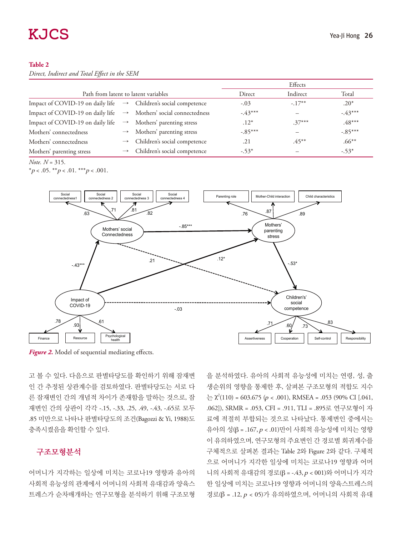#### **Table 2**

*Direct, Indirect and Total Effect in the SEM*

|                                                                              |                                            |           | Effects   |           |
|------------------------------------------------------------------------------|--------------------------------------------|-----------|-----------|-----------|
| Path from latent to latent variables                                         |                                            | Direct    | Indirect  | Total     |
| Impact of COVID-19 on daily life $\rightarrow$ Children's social competence  |                                            | $-.03$    | $-.17***$ | $.20*$    |
| Impact of COVID-19 on daily life $\rightarrow$ Mothers' social connectedness |                                            | $-43***$  |           | $-43***$  |
| Impact of COVID-19 on daily life $\rightarrow$                               | Mothers' parenting stress                  | $.12*$    | $.37***$  | $.48***$  |
| Mothers' connectedness                                                       | $\rightarrow$ Mothers' parenting stress    | $-.85***$ |           | $-.85***$ |
| Mothers' connectedness                                                       | $\rightarrow$ Children's social competence | .21       | $.45***$  | $.66***$  |
| Mothers' parenting stress                                                    | Children's social competence               | $-.53*$   |           | $-.53*$   |

*Note. N* = 315.

\* $p < .05$ . \*\* $p < .01$ . \*\*\* $p < .001$ .



*Figure 2.* Model of sequential mediating effects.

고 볼 수 있다. 다음으로 판별타당도를 확인하기 위해 잠재변 인 간 추정된 상관계수를 검토하였다. 판별타당도는 서로 다 른 잠재변인 간의 개념적 차이가 존재함을 말하는 것으로, 잠 재변인 간의 상관이 각각 -.15, -.33, .25, .49, -.43, -.65로 모두 .85 미만으로 나타나 판별타당도의 조건(Bagozzi & Yi, 1988)도 충족시켰음을 확인할 수 있다.

#### 구조모형분석

어머니가 지각하는 일상에 미치는 코로나19 영향과 유아의 사회적 유능성의 관계에서 어머니의 사회적 유대감과 양육스 트레스가 순차매개하는 연구모형을 분석하기 위해 구조모형

을 분석하였다. 유아의 사회적 유능성에 미치는 연령, 성, 출 생순위의 영향을 통제한 후, 살펴본 구조모형의 적합도 지수  $\geq \chi^2(110) = 603.675$  ( $p < .001$ ), RMSEA = .053 (90% CI [.041, .062]), SRMR = .053, CFI = .911, TLI = .895로 연구모형이 자 료에 적절히 부합되는 것으로 나타났다. 통제변인 중에서는 유아의 성(β = .167, p < .01)만이 사회적 유능성에 미치는 영향 이 유의하였으며, 연구모형의 주요변인 간 경로별 회귀계수를 구체적으로 살펴본 결과는 Table 2와 Figure 2와 같다. 구체적 으로 어머니가 지각한 일상에 미치는 코로나19 영향과 어머 니의 사회적 유대감의 경로(β = -.43, p < 001)와 어머니가 지각 한 일상에 미치는 코로나19 영향과 어머니의 양육스트레스의 경로(β = .12, p < 05)가 유의하였으며, 어머니의 사회적 유대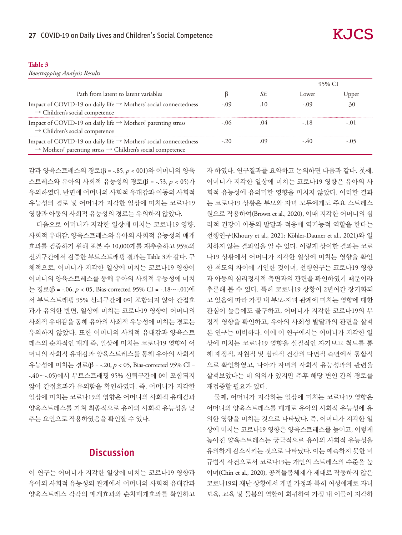| ---- | ۰. | ---<br>۰, | ×<br>٠ |
|------|----|-----------|--------|

*Boostrapping Analysis Results*

| Path from latent to latent variables                                                                                                                   |        | ower  | Jppei |
|--------------------------------------------------------------------------------------------------------------------------------------------------------|--------|-------|-------|
| Impact of COVID-19 on daily life → Mothers' social connectedness<br>$\rightarrow$ Children's social competence                                         | $-109$ |       |       |
| Impact of COVID-19 on daily life $\rightarrow$ Mothers' parenting stress<br>$\rightarrow$ Children's social competence                                 |        | $-18$ |       |
| Impact of COVID-19 on daily life → Mothers' social connectedness<br>$\rightarrow$ Mothers' parenting stress $\rightarrow$ Children's social competence |        |       |       |

감과 양육스트레스의 경로(β = -.85, p < 001)와 어머니의 양육 스트레스와 유아의 사회적 유능성의 경로(β = -.53, p < 05)가 유의하였다. 반면에 어머니의 사회적 유대감과 아동의 사회적 유능성의 경로 및 어머니가 지각한 일상에 미치는 코로나19 영향과 아동의 사회적 유능성의 경로는 유의하지 않았다.

다음으로 어머니가 지각한 일상에 미치는 코로나19 영향, 사회적 유대감, 양육스트레스와 유아의 사회적 유능성의 매개 효과를 검증하기 위해 표본 수 10,000개를 재추출하고 95%의 신뢰구간에서 검증한 부트스트래핑 결과는 Table 3과 같다. 구 체적으로, 어머니가 지각한 일상에 미치는 코로나19 영향이 어머니의 양육스트레스를 통해 유아의 사회적 유능성에 미치 는 경로(β = -.06, p < 05, Bias-corrected 95% CI = -.18∼-.01)에 서 부트스트래핑 95% 신뢰구간에 0이 포함되지 않아 간접효 과가 유의한 반면, 일상에 미치는 코로나19 영향이 어머니의 사회적 유대감을 통해 유아의 사회적 유능성에 미치는 경로는 유의하지 않았다. 또한 어머니의 사회적 유대감과 양육스트 레스의 순차적인 매개 즉, 일상에 미치는 코로나19 영향이 어 머니의 사회적 유대감과 양육스트레스를 통해 유아의 사회적 유능성에 미치는 경로(β = -.20, p < 05, Bias-corrected 95% CI = -.40∼-.05)에서 부트스트래핑 95% 신뢰구간에 0이 포함되지 않아 간접효과가 유의함을 확인하였다. 즉, 어머니가 지각한 일상에 미치는 코로나19의 영향은 어머니의 사회적 유대감과 양육스트레스를 거쳐 최종적으로 유아의 사회적 유능성을 낮 추는 요인으로 작용하였음을 확인할 수 있다.

## **Discussion**

이 연구는 어머니가 지각한 일상에 미치는 코로나19 영향과 유아의 사회적 유능성의 관계에서 어머니의 사회적 유대감과 양육스트레스 각각의 매개효과와 순차매개효과를 확인하고 자 하였다. 연구결과를 요약하고 논의하면 다음과 같다. 첫째, 어머니가 지각한 일상에 미치는 코로나19 영향은 유아의 사 회적 유능성에 유의미한 영향을 미치지 않았다. 이러한 결과 는 코로나19 상황은 부모와 자녀 모두에게도 주요 스트레스 원으로 작용하여(Brown et al., 2020), 이때 지각한 어머니의 심 리적 건강이 아동의 발달과 적응에 역기능적 역할을 한다는 선행연구(Khoury et al., 2021; Köhler-Dauner et al., 2021)와 일 치하지 않는 결과임을 알 수 있다. 이렇게 상이한 결과는 코로 나19 상황에서 어머니가 지각한 일상에 미치는 영향을 확인 한 척도의 차이에 기인한 것이며, 선행연구는 코로나19 영향 과 아동의 심리정서적 측면과의 관련을 확인하였기 때문이라 추론해 볼 수 있다. 특히 코로나19 상황이 2년여간 장기화되 고 있음에 따라 가정 내 부모-자녀 관계에 미치는 영향에 대한 관심이 높음에도 불구하고, 어머니가 지각한 코로나19의 부 정적 영향을 확인하고, 유아의 사회성 발달과의 관련을 살펴 본 연구는 미비하다. 이에 이 연구에서는 어머니가 지각한 일 상에 미치는 코로나19 영향을 실질적인 자기보고 척도를 통 해 재정적, 자원적 및 심리적 건강의 다면적 측면에서 통합적 으로 확인하였고, 나아가 자녀의 사회적 유능성과의 관련을 살펴보았다는 데 의의가 있지만 추후 해당 변인 간의 경로를 재검증할 필요가 있다.

둘째, 어머니가 지각하는 일상에 미치는 코로나19 영향은 어머니의 양육스트레스를 매개로 유아의 사회적 유능성에 유 의한 영향을 미치는 것으로 나타났다. 즉, 어머니가 지각한 일 상에 미치는 코로나19 영향은 양육스트레스를 높이고, 이렇게 높아진 양육스트레스는 궁극적으로 유아의 사회적 유능성을 유의하게 감소시키는 것으로 나타났다. 이는 예측하지 못한 비 규범적 사건으로서 코로나19는 개인의 스트레스의 수준을 높 이며(Chin et al., 2020), 공적돌봄체계가 제대로 작동하지 않은 코로나19의 재난 상황에서 개별 가정과 특히 여성에게로 자녀 보육, 교육 및 돌봄의 역할이 회귀하여 가정 내 이들이 지각하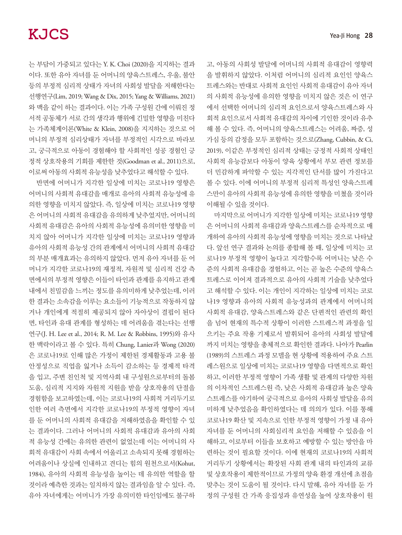는 부담이 가중되고 있다는 Y. K. Choi (2020)을 지지하는 결과 이다. 또한 유아 자녀를 둔 어머니의 양육스트레스, 우울, 불안 등의 부정적 심리적 상태가 자녀의 사회성 발달을 저해한다는 선행연구(Lim, 2019; Wang & Dix, 2015; Yang & Williams, 2021) 와 맥을 같이 하는 결과이다. 이는 가족 구성원 간에 이뤄진 정 서적 공동체가 서로 간의 생각과 행위에 긴밀한 영향을 미친다 는 가족체계이론(White & Klein, 2008)을 지지하는 것으로 어 머니의 부정적 심리상태가 자녀를 부정적인 시각으로 바라보 고, 궁극적으로 아동이 경험해야 할 사회적인 성공 경험인 긍 정적 상호작용의 기회를 제한한 것(Goodman et al., 2011)으로, 이로써 아동의 사회적 유능성을 낮추었다고 해석할 수 있다.

반면에 어머니가 지각한 일상에 미치는 코로나19 영향은 어머니의 사회적 유대감을 매개로 유아의 사회적 유능성에 유 의한 영향을 미치지 않았다. 즉, 일상에 미치는 코로나19 영향 은 어머니의 사회적 유대감을 유의하게 낮추었지만, 어머니의 사회적 유대감은 유아의 사회적 유능성에 유의미한 영향을 미 치지 않아 어머니가 지각한 일상에 미치는 코로나19 영향과 유아의 사회적 유능성 간의 관계에서 어머니의 사회적 유대감 의 부분 매개효과는 유의하지 않았다. 먼저 유아 자녀를 둔 어 머니가 지각한 코로나19의 재정적, 자원적 및 심리적 건강 측 면에서의 부정적 영향은 이들이 타인과 관계를 유지하고 관계 내에서 친밀감을 느끼는 정도를 유의미하게 낮추었는데, 이러 한 결과는 소속감을 이루는 요소들이 기능적으로 작동하지 않 거나 개인에게 적절히 제공되지 않아 자아상이 결핍이 된다 면, 타인과 유대 관계를 형성하는 데 어려움을 겪는다는 선행 연구(J. H. Lee et al., 2014; R. M. Lee & Robbins, 1995)와 유사 한 맥락이라고 볼 수 있다. 특히 Chung, Lanier과 Wong (2020) 은 코로나19로 인해 많은 가정이 제한된 경제활동과 고용 불 안정성으로 직업을 잃거나 소득이 감소하는 등 경제적 타격 을 입고, 주변 친인척 및 지역사회 내 구성원으로부터의 돌봄 도움, 심리적 지지와 자원적 지원을 받을 상호작용의 단절을 경험함을 보고하였는데, 이는 코로나19의 사회적 거리두기로 인한 여러 측면에서 지각한 코로나19의 부정적 영향이 자녀 를 둔 어머니의 사회적 유대감을 저해하였음을 확인할 수 있 는 결과이다. 그러나 어머니의 사회적 유대감과 유아의 사회 적 유능성 간에는 유의한 관련이 없었는데 이는 어머니의 사 회적 유대감이 사회 속에서 어울리고 소속되지 못해 경험하는 어려움이나 상실에 인내하고 견디는 힘의 원천으로서(Kohut, 1984), 유아의 사회적 유능성을 높이는 데 유의한 역할을 할 것이라 예측한 것과는 일치하지 않는 결과임을 알 수 있다. 즉, 유아 자녀에게는 어머니가 가장 유의미한 타인임에도 불구하

고, 아동의 사회성 발달에 어머니의 사회적 유대감이 영향력 을 발휘하지 않았다. 이처럼 어머니의 심리적 요인인 양육스 트레스와는 반대로 사회적 요인인 사회적 유대감이 유아 자녀 의 사회적 유능성에 유의한 영향을 미치지 않은 것은 이 연구 에서 선택한 어머니의 심리적 요인으로서 양육스트레스와 사 회적 요인으로서 사회적 유대감의 차이에 기인한 것이라 유추 해 볼 수 있다. 즉, 어머니의 양육스트레스는 어려움, 짜증, 성 가심 등의 감정을 모두 포함하는 것으로(Zhang, Cubbin, & Ci, 2019), 이같은 부정적인 심리적 상태는 긍정적 사회적 상태인 사회적 유능감보다 아동이 양육 상황에서 부모 관련 정보를 더 민감하게 파악할 수 있는 지각적인 단서를 많이 가진다고 볼 수 있다. 이에 어머니의 부정적 심리적 특성인 양육스트레 스만이 유아의 사회적 유능성에 유의한 영향을 미쳤을 것이라 이해될 수 있을 것이다.

마지막으로 어머니가 지각한 일상에 미치는 코로나19 영향 은 어머니의 사회적 유대감과 양육스트레스를 순차적으로 매 개하여 유아의 사회적 유능성에 영향을 미치는 것으로 나타났 다. 앞선 연구 결과와 논의를 종합해 볼 때, 일상에 미치는 코 로나19 부정적 영향이 높다고 지각할수록 어머니는 낮은 수 준의 사회적 유대감을 경험하고, 이는 곧 높은 수준의 양육스 트레스로 이어져 결과적으로 유아의 사회적 기술을 낮추었다 고 해석할 수 있다. 이는 개인이 지각하는 일상에 미치는 코로 나19 영향과 유아의 사회적 유능성과의 관계에서 어머니의 사회적 유대감, 양육스트레스와 같은 단편적인 관련의 확인 을 넘어 현재의 특수적 상황이 이러한 스트레스적 과정을 일 으키는 주요 작용 기제로서 발휘되어 유아의 사회성 발달에 까지 미치는 영향을 총체적으로 확인한 결과다. 나아가 Pearlin (1989)의 스트레스 과정 모델을 현 상황에 적용하여 주요 스트 레스원으로 일상에 미치는 코로나19 영향을 다면적으로 확인 하고, 이러한 부정적 영향이 가족 생활 및 관계의 다양한 차원 의 이차적인 스트레스원 즉, 낮은 사회적 유대감과 높은 양육 스트레스를 야기하여 궁극적으로 유아의 사회성 발달을 유의 미하게 낮추었음을 확인하였다는 데 의의가 있다. 이를 통해 코로나19 확산 및 지속으로 인한 부정적 영향이 가정 내 유아 자녀를 둔 어머니의 사회심리적 요인을 저해할 수 있음을 이 해하고, 이로부터 이들을 보호하고 예방할 수 있는 방안을 마 련하는 것이 필요할 것이다. 이에 현재의 코로나19의 사회적 거리두기 상황에서는 확장된 사회 관계 내의 타인과의 교류 및 상호작용이 제한적이므로 가정의 양육 환경 개선에 초점을 맞추는 것이 도움이 될 것이다. 다시 말해, 유아 자녀를 둔 가 정의 구성원 간 가족 응집성과 유연성을 높여 상호작용이 원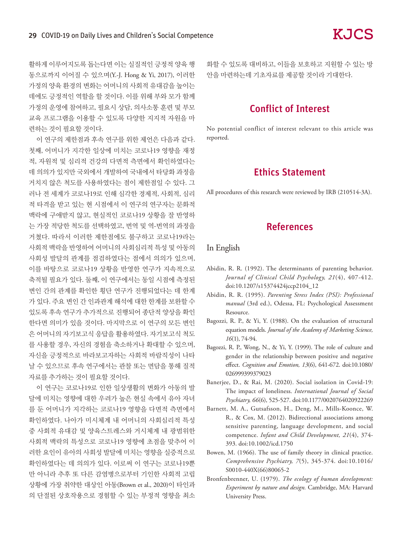활하게 이루어지도록 돕는다면 이는 실질적인 긍정적 양육 행 동으로까지 이어질 수 있으며(Y.-J. Hong & Yi, 2017), 이러한 가정의 양육 환경의 변화는 어머니의 사회적 유대감을 높이는 데에도 긍정적인 역할을 할 것이다. 이를 위해 부와 모가 함께 가정의 운영에 참여하고, 필요시 상담, 의사소통 훈련 및 부모 교육 프로그램을 이용할 수 있도록 다양한 지지적 자원을 마 련하는 것이 필요할 것이다.

이 연구의 제한점과 후속 연구를 위한 제언은 다음과 같다. 첫째, 어머니가 지각한 일상에 미치는 코로나19 영향을 재정 적, 자원적 및 심리적 건강의 다면적 측면에서 확인하였다는 데 의의가 있지만 국외에서 개발하여 국내에서 타당화 과정을 거치지 않은 척도를 사용하였다는 점이 제한점일 수 있다. 그 러나 전 세계가 코로나19로 인해 심각한 경제적, 사회적, 심리 적 타격을 받고 있는 현 시점에서 이 연구의 연구자는 문화적 맥락에 구애받지 않고, 현실적인 코로나19 상황을 잘 반영하 는 가장 적당한 척도를 선택하였고, 번역 및 역-번역의 과정을 거쳤다. 따라서 이러한 제한점에도 불구하고 코로나19라는 사회적 맥락을 반영하여 어머니의 사회심리적 특성 및 아동의 사회성 발달의 관계를 점검하였다는 점에서 의의가 있으며, 이를 바탕으로 코로나19 상황을 반영한 연구가 지속적으로 축적될 필요가 있다. 둘째, 이 연구에서는 동일 시점에 측정된 변인 간의 관계를 확인한 횡단 연구가 진행되었다는 데 한계 가 있다. 주요 변인 간 인과관계 해석에 대한 한계를 보완할 수 있도록 후속 연구가 추가적으로 진행되어 종단적 양상을 확인 한다면 의미가 있을 것이다. 마지막으로 이 연구의 모든 변인 은 어머니의 자기보고식 응답을 활용하였다. 자기보고식 척도 를 사용할 경우, 자신의 경험을 축소하거나 확대할 수 있으며, 자신을 긍정적으로 바라보고자하는 사회적 바람직성이 나타 날 수 있으므로 후속 연구에서는 관찰 또는 면담을 통해 질적 자료를 추가하는 것이 필요할 것이다.

이 연구는 코로나19로 인한 일상생활의 변화가 아동의 발 달에 미치는 영향에 대한 우려가 높은 현실 속에서 유아 자녀 를 둔 어머니가 지각하는 코로나19 영향을 다면적 측면에서 확인하였다. 나아가 미시체계 내 어머니의 사회심리적 특성 중 사회적 유대감 및 양육스트레스와 거시체계 내 광범위한 사회적 맥락의 특성으로 코로나19 영향에 초점을 맞추어 이 러한 요인이 유아의 사회성 발달에 미치는 영향을 실증적으로 확인하였다는 데 의의가 있다. 이로써 이 연구는 코로나19뿐 만 아니라 추후 또 다른 감염병으로부터 기인한 사회적 고립 상황에 가장 취약한 대상인 아동(Brown et al., 2020)이 타인과 의 단절된 상호작용으로 경험할 수 있는 부정적 영향을 최소 화할 수 있도록 대비하고, 이들을 보호하고 지원할 수 있는 방 안을 마련하는데 기초자료를 제공할 것이라 기대한다.

## Conflict of Interest

No potential conflict of interest relevant to this article was reported.

## Ethics Statement

All procedures of this research were reviewed by IRB (210514-3A).

## References

### In English

- Abidin, R. R. (1992). The determinants of parenting behavior. *Journal of Clinical Child Psychology, 21*(4), 407-412. doi:10.1207/s15374424jccp2104\_12
- Abidin, R. R. (1995). *Parenting Stress Index (PSI): Professional manual* (3rd ed.), Odessa, FL: Psychological Assessment Resource.
- Bagozzi, R. P., & Yi, Y. (1988). On the evaluation of structural equation models. *Journal of the Academy of Marketing Science, 16*(1), 74-94.
- Bagozzi, R. P., Wong, N., & Yi, Y. (1999). The role of culture and gender in the relationship between positive and negative effect. *Cognition and Emotion, 13*(6), 641-672. doi:10.1080/ 026999399379023
- Banerjee, D., & Rai, M. (2020). Social isolation in Covid-19: The impact of loneliness. *International Journal of Social Psychiatry, 66*(6), 525-527. doi:10.1177/0020764020922269
- Barnett, M. A., Gutsafsson, H., Deng, M., Mills-Koonce, W. R., & Cox, M. (2012). Bidirectional associations among sensitive parenting, language development, and social competence. *Infant and Child Development, 21*(4), 374- 393. doi:10.1002/icd.1750
- Bowen, M. (1966). The use of family theory in clinical practice. *Comprehensive Psychiatry, 7*(5), 345-374. doi:10.1016/ S0010-440X(66)80065-2
- Bronfenbrenner, U. (1979). *The ecology of human development: Experiment by nature and design.* Cambridge, MA: Harvard University Press.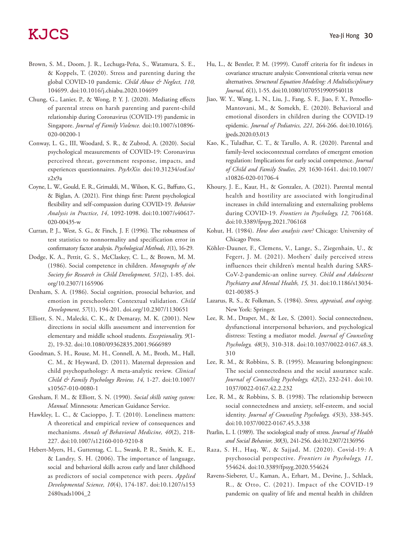- Brown, S. M., Doom, J. R., Lechuga-Peña, S., Watamura, S. E., & Koppels, T. (2020). Stress and parenting during the global COVID-10 pandemic. *Child Abuse & Neglect, 110,*  104699. doi:10.1016/j.chiabu.2020.104699
- Chung, G., Lanier, P., & Wong, P. Y. J. (2020). Mediating effects of parental stress on harsh parenting and parent-child relationship during Coronavirus (COVID-19) pandemic in Singapore. *Journal of Family Violence.* doi:10.1007/s10896- 020-00200-1
- Conway, L. G., III, Woodard, S. R., & Zubrod, A. (2020). Social psychological measurements of COVID-19: Coronavirus perceived threat, government response, impacts, and experiences questionnaires. *PsyArXiv.* doi:10.31234/osf.io/ z2x9a
- Coyne, L. W., Gould, E. R., Grimaldi, M., Wilson, K. G., Baffuto, G., & Biglan, A. (2021). First things first: Parent psychological flexibility and self-compassion during COVID-19. *Behavior Analysis in Practice, 14,* 1092-1098. doi:10.1007/s40617- 020-00435-w
- Curran, P. J., West, S. G., & Finch, J. F. (1996). The robustness of test statistics to nonnormality and specification error in confirmatory factor analysis. *Psychological Methods, 1*(1), 16-29.
- Dodge, K. A., Pettit, G. S., McClaskey, C. L., & Brown, M. M. (1986). Social competence in children. *Monographs of the Society for Research in Child Development, 51*(2), 1-85. doi. org/10.2307/1165906
- Denham, S. A. (1986). Social cognition, prosocial behavior, and emotion in preschoolers: Contextual validation. *Child Development, 57*(1), 194-201. doi.org/10.2307/1130651
- Elliott, S. N., Malecki, C. K., & Demaray, M. K. (2001). New directions in social skills assessment and intervention for elementary and middle school students. *Exceptionality, 9*(1- 2), 19-32. doi:10.1080/09362835.2001.9666989
- Goodman, S. H., Rouse, M. H., Connell, A. M., Broth, M., Hall, C. M., & Heyward, D. (2011). Maternal depression and child psychopathology: A meta-analytic review. *Clinical Child & Family Psychology Review, 14,* 1-27. doi:10.1007/ x10567-010-0080-1
- Gresham, F. M., & Elliott, S. N. (1990). *Social skills rating system: Manual.* Minnesota: American Guidance Service.
- Hawkley, L. C., & Cacioppo, J. T. (2010). Loneliness matters: A theoretical and empirical review of consequences and mechanisms. *Annals of Behavioral Medicine, 40*(2), 218- 227. doi:10.1007/s12160-010-9210-8
- Hebert-Myers, H., Guttentag, C. L., Swank, P. R., Smith, K. E., & Landry, S. H. (2006). The importance of language, social and behavioral skills across early and later childhood as predictors of social competence with peers. *Applied Developmental Science, 10*(4), 174-187. doi:10.1207/s153 2480xads1004\_2
- Hu, L., & Bentler, P. M. (1999). Cutoff criteria for fit indexes in covariance structure analysis: Conventional criteria versus new alternatives. *Structural Equation Modeling: A Multidisciplinary Journal, 6*(1), 1-55. doi:10.1080/10705519909540118
- Jiao, W. Y., Wang, L. N., Liu, J., Fang, S. F., Jiao, F. Y., Pettoello-Mantovani, M., & Somekh, E. (2020). Behavioral and emotional disorders in children during the COVID-19 epidemic. *Journal of Pediatrics, 221,* 264-266. doi:10.1016/j. jpeds.2020.03.013
- Kao, K., Tuladhar, C. T., & Tarullo, A. R. (2020). Parental and family-level sociocontextual correlates of emergent emotion regulation: Implications for early social competence. *Journal of Child and Family Studies, 29,* 1630-1641. doi:10.1007/ s10826-020-01706-4
- Khoury, J. E., Kaur, H., & Gonzalez, A. (2021). Parental mental health and hostility are associated with longitudinal increases in child internalizing and externalizing problems during COVID-19. *Frontiers in Psychology, 12,* 706168. doi:10.3389/fpsyg.2021.706168
- Kohut, H. (1984). *How does analysis cure?* Chicago: University of Chicago Press.
- Köhler-Dauner, F., Clemens, V., Lange, S., Ziegenhain, U., & Fegert, J. M. (2021). Mothers' daily perceived stress influences their children's mental health during SARS-CoV-2-pandemic-an online survey. *Child and Adolescent Psychiatry and Mental Health, 15,* 31. doi:10.1186/s13034- 021-00385-3
- Lazarus, R. S., & Folkman, S. (1984). *Stress, appraisal, and coping.*  New York: Springer.
- Lee, R. M., Draper, M., & Lee, S. (2001). Social connectedness, dysfunctional interpersonal behaviors, and psychological distress: Testing a mediator model. *Journal of Counseling Psychology, 48*(3), 310-318. doi:10.1037/0022-0167.48.3. 310
- Lee, R. M., & Robbins, S. B. (1995). Measuring belongingness: The social connectedness and the social assurance scale. *Journal of Counseling Psychology, 42*(2), 232-241. doi:10. 1037/0022-0167.42.2.232
- Lee, R. M., & Robbins, S. B. (1998). The relationship between social connectedness and anxiety, self-esteem, and social identity. *Journal of Counseling Psychology, 45*(3), 338-345. doi:10.1037/0022-0167.45.3.338
- Pearlin, L. I. (1989). The sociological study of stress. *Journal of Health and Social Behavior, 30*(3), 241-256. doi:10.2307/2136956
- Raza, S. H., Haq, W., & Sajjad, M. (2020). Covid-19: A psychosocial perspective. *Frontiers in Psychology, 11,*  554624. doi:10.3389/fpsyg.2020.554624
- Ravens-Sieberer, U., Kaman, A., Erhart, M., Devine, J., Schlack, R., & Otto, C. (2021). Impact of the COVID-19 pandemic on quality of life and mental health in children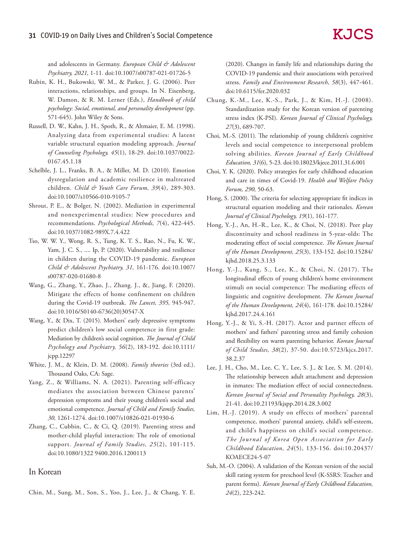and adolescents in Germany. *European Child & Adolescent Psychiatry, 2021,* 1-11*.* doi:10.1007/s00787-021-01726-5

- Rubin, K. H., Bukowski, W. M., & Parker, J. G. (2006). Peer interactions, relationships, and groups. In N. Eisenberg, W. Damon, & R. M. Lerner (Eds.), *Handbook of child psychology: Social, emotional, and personality development* (pp. 571-645). John Wiley & Sons.
- Russell, D. W., Kahn, J. H., Spoth, R., & Altmaier, E. M. (1998). Analyzing data from experimental studies: A latent variable structural equation modeling approach. *Journal of Counseling Psychology, 45*(1), 18-29. doi:10.1037/0022- 0167.45.1.18
- Schelble, J. L., Franks, B. A., & Miller, M. D. (2010). Emotion dysregulation and academic resilience in maltreated children. *Child & Youth Care Forum, 39*(4), 289-303. doi:10.1007/s10566-010-9105-7
- Shrout, P. E., & Bolger, N. (2002). Mediation in experimental and nonexperimental studies: New procedures and recommendations. *Psychological Methods, 7*(4), 422-445. doi:10.1037/1082-989X.7.4.422
- Tso, W. W. Y., Wong, R. S., Tung, K. T. S., Rao, N., Fu, K. W., Yam, J. C. S., .... Ip, P. (2020). Vulnerability and resilience in children during the COVID-19 pandemic. *European Child & Adolescent Psychiatry, 31,* 161-176. doi:10.1007/ s00787-020-01680-8
- Wang, G., Zhang, Y., Zhao, J., Zhang. J., &, Jiang, F. (2020). Mitigate the effects of home confinement on children during the Covid-19 outbreak. *The Lancet, 395,* 945-947. doi:10.1016/S0140-6736(20)30547-X
- Wang, Y., & Dix, T. (2015). Mothers' early depressive symptoms predict children's low social competence in first grade: Mediation by children's social cognition. *The Journal of Child Psychology and Psychiatry, 56*(2), 183-192. doi:10.1111/ jcpp.12297
- White, J. M., & Klein, D. M. (2008). *Family theories* (3rd ed.). Thousand Oaks, CA: Sage.
- Yang, Z., & Williams, N. A. (2021). Parenting self-efficacy mediates the association between Chinese parents' depression symptoms and their young children's social and emotional competence. *Journal of Child and Family Studies, 30,* 1261-1274. doi:10.1007/s10826-021-01930-6
- Zhang, C., Cubbin, C., & Ci, Q. (2019). Parenting stress and mother-child playful interaction: The role of emotional support. *Journal of Family Studies, 25*(2), 101-115. doi:10.1080/1322 9400.2016.1200113

#### In Korean

Chin, M., Sung, M., Son, S., Yoo, J., Lee, J., & Chang, Y. E.

(2020). Changes in family life and relationships during the COVID-19 pandemic and their associations with perceived stress. *Family and Environment Research, 58*(3), 447-461. doi:10.6115/fer.2020.032

- Chung, K.-M., Lee, K.-S., Park, J., & Kim, H.-J. (2008). Standardization study for the Korean version of parenting stress index (K-PSI). *Korean Journal of Clinical Psychology, 27*(3), 689-707.
- Choi, M.-S. (2011). The relationship of young children's cognitive levels and social competence to interpersonal problem solving abilities. *Korean Journal of Early Childhood Education, 31*(6), 5-23. doi:10.18023/kjece.2011.31.6.001
- Choi, Y. K. (2020). Policy strategies for early childhood education and care in times of Covid-19. *Health and Welfare Policy Forum, 290,* 50-63.
- Hong, S. (2000). The criteria for selecting appropriate fit indices in structural equation modeling and their rationales. *Korean Journal of Clinical Psychology, 19*(1), 161-177.
- Hong, Y.-J., An, H.-R., Lee, K., & Choi, N. (2018). Peer play discontinuity and school readiness in 5-year-olds: The moderating effect of social competence. *The Korean Journal of the Human Development, 25*(3), 133-152. doi:10.15284/ kjhd.2018.25.3.133
- Hong, Y.-J., Kang, S., Lee, K., & Choi, N. (2017). The longitudinal effects of young children's home environment stimuli on social competence: The mediating effects of linguistic and cognitive development. *The Korean Journal of the Human Development, 24*(4), 161-178. doi:10.15284/ kjhd.2017.24.4.161
- Hong, Y.-J., & Yi, S.-H. (2017). Actor and partner effects of mothers' and fathers' parenting stress and family cohesion and flexibility on warm parenting behavior. *Korean Journal of Child Studies, 38*(2), 37-50. doi:10.5723/kjcs.2017. 38.2.37
- Lee, J. H., Cho, M., Lee, C. Y., Lee, S. J., & Lee, S. M. (2014). The relationship between adult attachment and depression in inmates: The mediation effect of social connectedness. *Korean Journal of Social and Personality Psychology, 28*(3), 21-41. doi:10.21193/kjspp.2014.28.3.002
- Lim, H.-J. (2019). A study on effects of mothers' parental competence, mothers' parental anxiety, child's self-esteem, and child's happiness on child's social competence. *The Journal of Korea Open Association for Early Childhood Education, 24*(5), 133-156. doi:10.20437/ KOAECE24-5-07
- Suh, M.-O. (2004). A validation of the Korean version of the social skill rating system for preschool level (K-SSRS: Teacher and parent forms). *Korean Journal of Early Childhood Education, 24*(2), 223-242.